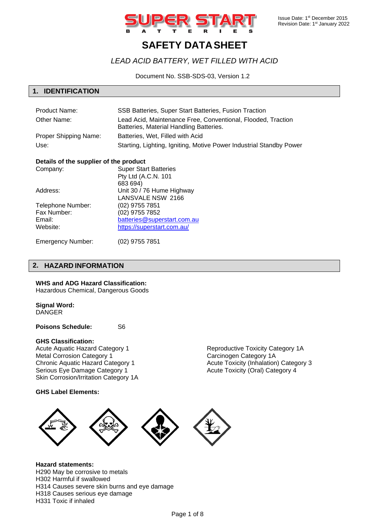

# **SAFETY DATASHEET**

## *LEAD ACID BATTERY, WET FILLED WITH ACID*

Document No. SSB-SDS-03, Version 1.2

## **1. IDENTIFICATION**

| <b>Product Name:</b>  | SSB Batteries, Super Start Batteries, Fusion Traction                                                   |
|-----------------------|---------------------------------------------------------------------------------------------------------|
| Other Name:           | Lead Acid, Maintenance Free, Conventional, Flooded, Traction<br>Batteries, Material Handling Batteries. |
| Proper Shipping Name: | Batteries, Wet, Filled with Acid                                                                        |
| Use:                  | Starting, Lighting, Igniting, Motive Power Industrial Standby Power                                     |

## **Details of the supplier of the product**

| Company:          | <b>Super Start Batteries</b> |
|-------------------|------------------------------|
|                   | Pty Ltd (A.C.N. 101          |
|                   | 683 694)                     |
| Address:          | Unit 30 / 76 Hume Highway    |
|                   | LANSVALE NSW 2166            |
| Telephone Number: | (02) 9755 7851               |
| Fax Number:       | (02) 9755 7852               |
| Email:            | batteries@superstart.com.au  |
| Website:          | https://superstart.com.au/   |
|                   |                              |

Emergency Number: (02) 9755 7851

## **2. HAZARD INFORMATION**

## **WHS and ADG Hazard Classification:**

Hazardous Chemical, Dangerous Goods

## **Signal Word:**

**DANGER** 

**Poisons Schedule:** S6

## **GHS Classification:**

Acute Aquatic Hazard Category 1 Metal Corrosion Category 1 Chronic Aquatic Hazard Category 1 Serious Eye Damage Category 1 Skin Corrosion/Irritation Category 1A

## **GHS Label Elements:**

Reproductive Toxicity Category 1A Carcinogen Category 1A Acute Toxicity (Inhalation) Category 3 Acute Toxicity (Oral) Category 4



**Hazard statements:** H290 May be corrosive to metals H302 Harmful if swallowed H314 Causes severe skin burns and eye damage H318 Causes serious eye damage H331 Toxic if inhaled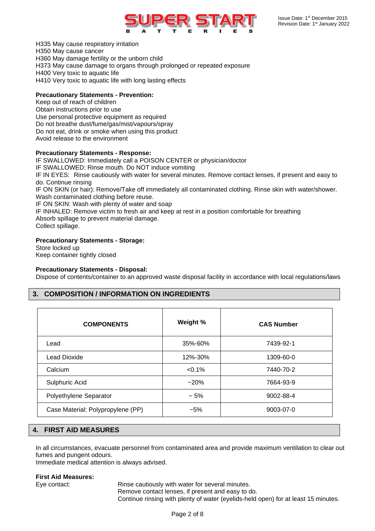

H335 May cause respiratory irritation H350 May cause cancer H360 May damage fertility or the unborn child H373 May cause damage to organs through prolonged or repeated exposure H400 Very toxic to aquatic life H410 Very toxic to aquatic life with long lasting effects

## **Precautionary Statements - Prevention:**

Keep out of reach of children Obtain instructions prior to use Use personal protective equipment as required Do not breathe dust/fume/gas/mist/vapours/spray Do not eat, drink or smoke when using this product Avoid release to the environment

## **Precautionary Statements - Response:**

IF SWALLOWED: Immediately call a POISON CENTER or physician/doctor IF SWALLOWED: Rinse mouth. Do NOT induce vomiting IF IN EYES: Rinse cautiously with water for several minutes. Remove contact lenses, if present and easy to do. Continue rinsing IF ON SKIN (or hair): Remove/Take off immediately all contaminated clothing. Rinse skin with water/shower. Wash contaminated clothing before reuse. IF ON SKIN: Wash with plenty of water and soap IF INHALED: Remove victim to fresh air and keep at rest in a position comfortable for breathing Absorb spillage to prevent material damage. Collect spillage.

## **Precautionary Statements - Storage:**

Store locked up Keep container tightly closed

## **Precautionary Statements - Disposal:**

Dispose of contents/container to an approved waste disposal facility in accordance with local regulations/laws

## **3. COMPOSITION / INFORMATION ON INGREDIENTS**

| <b>COMPONENTS</b>                 | Weight %  | <b>CAS Number</b> |
|-----------------------------------|-----------|-------------------|
| Lead                              | 35%-60%   | 7439-92-1         |
| Lead Dioxide                      | 12%-30%   | 1309-60-0         |
| Calcium                           | $< 0.1\%$ | 7440-70-2         |
| Sulphuric Acid                    | $~20\%$   | 7664-93-9         |
| Polyethylene Separator            | $~1.5\%$  | 9002-88-4         |
| Case Material: Polypropylene (PP) | $-5\%$    | 9003-07-0         |

## **4. FIRST AID MEASURES**

In all circumstances, evacuate personnel from contaminated area and provide maximum ventilation to clear out fumes and pungent odours.

Immediate medical attention is always advised.

## **First Aid Measures:**

Eye contact: Rinse cautiously with water for several minutes. Remove contact lenses, if present and easy to do. Continue rinsing with plenty of water (eyelids-held open) for at least 15 minutes.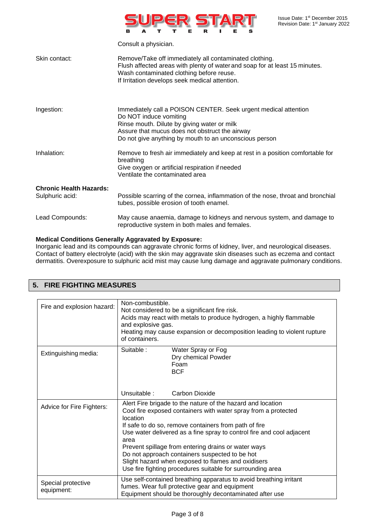

|                                                   | Consult a physician.                                                                                                                                                                                                                                 |
|---------------------------------------------------|------------------------------------------------------------------------------------------------------------------------------------------------------------------------------------------------------------------------------------------------------|
| Skin contact:                                     | Remove/Take off immediately all contaminated clothing.<br>Flush affected areas with plenty of water and soap for at least 15 minutes.<br>Wash contaminated clothing before reuse.<br>If Irritation develops seek medical attention.                  |
| Ingestion:                                        | Immediately call a POISON CENTER. Seek urgent medical attention<br>Do NOT induce vomiting<br>Rinse mouth. Dilute by giving water or milk<br>Assure that mucus does not obstruct the airway<br>Do not give anything by mouth to an unconscious person |
| Inhalation:                                       | Remove to fresh air immediately and keep at rest in a position comfortable for<br>breathing<br>Give oxygen or artificial respiration if needed<br>Ventilate the contaminated area                                                                    |
| <b>Chronic Health Hazards:</b><br>Sulphuric acid: | Possible scarring of the cornea, inflammation of the nose, throat and bronchial<br>tubes, possible erosion of tooth enamel.                                                                                                                          |
| Lead Compounds:                                   | May cause anaemia, damage to kidneys and nervous system, and damage to<br>reproductive system in both males and females.                                                                                                                             |

## **Medical Conditions Generally Aggravated by Exposure:**

Inorganic lead and its compounds can aggravate chronic forms of kidney, liver, and neurological diseases. Contact of battery electrolyte (acid) with the skin may aggravate skin diseases such as eczema and contact dermatitis. Overexposure to sulphuric acid mist may cause lung damage and aggravate pulmonary conditions.

| Fire and explosion hazard:       | Non-combustible.<br>Not considered to be a significant fire risk.<br>Acids may react with metals to produce hydrogen, a highly flammable<br>and explosive gas.<br>Heating may cause expansion or decomposition leading to violent rupture<br>of containers.                                                                                                                                                                                                                                                      |  |
|----------------------------------|------------------------------------------------------------------------------------------------------------------------------------------------------------------------------------------------------------------------------------------------------------------------------------------------------------------------------------------------------------------------------------------------------------------------------------------------------------------------------------------------------------------|--|
| Extinguishing media:             | Suitable:<br>Water Spray or Fog<br>Dry chemical Powder<br>Foam<br><b>BCF</b>                                                                                                                                                                                                                                                                                                                                                                                                                                     |  |
|                                  | Unsuitable:<br>Carbon Dioxide                                                                                                                                                                                                                                                                                                                                                                                                                                                                                    |  |
| Advice for Fire Fighters:        | Alert Fire brigade to the nature of the hazard and location<br>Cool fire exposed containers with water spray from a protected<br>location<br>If safe to do so, remove containers from path of fire<br>Use water delivered as a fine spray to control fire and cool adjacent<br>area<br>Prevent spillage from entering drains or water ways<br>Do not approach containers suspected to be hot<br>Slight hazard when exposed to flames and oxidisers<br>Use fire fighting procedures suitable for surrounding area |  |
| Special protective<br>equipment: | Use self-contained breathing apparatus to avoid breathing irritant<br>fumes. Wear full protective gear and equipment<br>Equipment should be thoroughly decontaminated after use                                                                                                                                                                                                                                                                                                                                  |  |

## **5. FIRE FIGHTING MEASURES**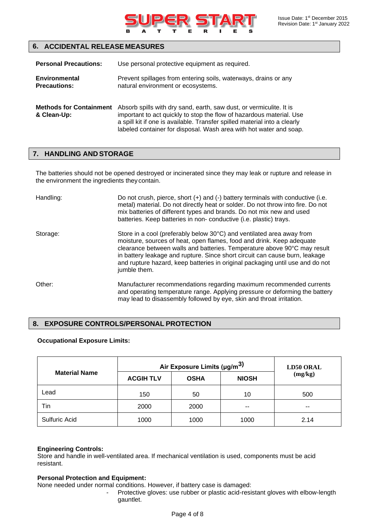

| <b>Personal Precautions:</b>                  | Use personal protective equipment as required.                                                                                                                                                                                                                                                 |  |
|-----------------------------------------------|------------------------------------------------------------------------------------------------------------------------------------------------------------------------------------------------------------------------------------------------------------------------------------------------|--|
| <b>Environmental</b><br><b>Precautions:</b>   | Prevent spillages from entering soils, waterways, drains or any<br>natural environment or ecosystems.                                                                                                                                                                                          |  |
| <b>Methods for Containment</b><br>& Clean-Up: | Absorb spills with dry sand, earth, saw dust, or vermiculite. It is<br>important to act quickly to stop the flow of hazardous material. Use<br>a spill kit if one is available. Transfer spilled material into a clearly<br>labeled container for disposal. Wash area with hot water and soap. |  |

## **7. HANDLING AND STORAGE**

The batteries should not be opened destroyed or incinerated since they may leak or rupture and release in the environment the ingredients they contain.

| Handling: | Do not crush, pierce, short $(+)$ and $(-)$ battery terminals with conductive (i.e.<br>metal) material. Do not directly heat or solder. Do not throw into fire. Do not<br>mix batteries of different types and brands. Do not mix new and used<br>batteries. Keep batteries in non- conductive (i.e. plastic) trays.                                                                                       |
|-----------|------------------------------------------------------------------------------------------------------------------------------------------------------------------------------------------------------------------------------------------------------------------------------------------------------------------------------------------------------------------------------------------------------------|
| Storage:  | Store in a cool (preferably below 30°C) and ventilated area away from<br>moisture, sources of heat, open flames, food and drink. Keep adequate<br>clearance between walls and batteries. Temperature above 90°C may result<br>in battery leakage and rupture. Since short circuit can cause burn, leakage<br>and rupture hazard, keep batteries in original packaging until use and do not<br>jumble them. |
| Other:    | Manufacturer recommendations regarding maximum recommended currents<br>and operating temperature range. Applying pressure or deforming the battery<br>may lead to disassembly followed by eye, skin and throat irritation.                                                                                                                                                                                 |

## **8. EXPOSURE CONTROLS/PERSONAL PROTECTION**

## **Occupational Exposure Limits:**

|                      | Air Exposure Limits ( $\mu$ g/m <sup>3)</sup> |             |              | <b>LD50 ORAL</b> |
|----------------------|-----------------------------------------------|-------------|--------------|------------------|
| <b>Material Name</b> | <b>ACGIH TLV</b>                              | <b>OSHA</b> | <b>NIOSH</b> | (mg/kg)          |
| Lead                 | 150                                           | 50          | 10           | 500              |
| Tin                  | 2000                                          | 2000        | $- -$        | --               |
| Sulfuric Acid        | 1000                                          | 1000        | 1000         | 2.14             |

## **Engineering Controls:**

Store and handle in well-ventilated area. If mechanical ventilation is used, components must be acid resistant.

## **Personal Protection and Equipment:**

None needed under normal conditions. However, if battery case is damaged:

- Protective gloves: use rubber or plastic acid-resistant gloves with elbow-length gauntlet.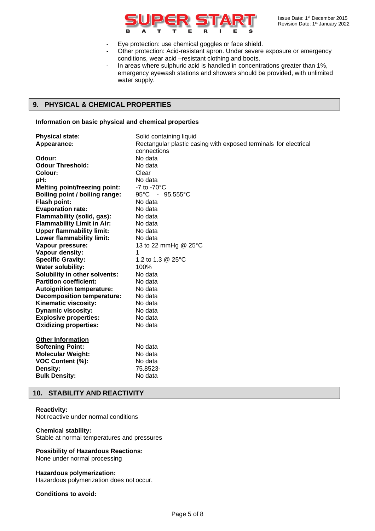

- Eye protection: use chemical goggles or face shield.
	- Other protection: Acid-resistant apron. Under severe exposure or emergency conditions, wear acid –resistant clothing and boots.
- In areas where sulphuric acid is handled in concentrations greater than 1%, emergency eyewash stations and showers should be provided, with unlimited water supply.

## **9. PHYSICAL & CHEMICAL PROPERTIES**

#### **Information on basic physical and chemical properties**

| <b>Physical state:</b>               | Solid containing liquid                                          |
|--------------------------------------|------------------------------------------------------------------|
| Appearance:                          | Rectangular plastic casing with exposed terminals for electrical |
|                                      | connections                                                      |
| Odour:                               | No data                                                          |
| <b>Odour Threshold:</b>              | No data                                                          |
| Colour:                              | Clear                                                            |
| pH:                                  | No data                                                          |
| <b>Melting point/freezing point:</b> | $-7$ to $-70^{\circ}$ C                                          |
| Boiling point / boiling range:       | 95°C - 95.555°C                                                  |
| <b>Flash point:</b>                  | No data                                                          |
| <b>Evaporation rate:</b>             | No data                                                          |
| Flammability (solid, gas):           | No data                                                          |
| <b>Flammability Limit in Air:</b>    | No data                                                          |
| <b>Upper flammability limit:</b>     | No data                                                          |
| Lower flammability limit:            | No data                                                          |
| Vapour pressure:                     | 13 to 22 mmHg @ 25°C                                             |
| Vapour density:                      | 1                                                                |
| <b>Specific Gravity:</b>             | 1.2 to 1.3 @ 25°C                                                |
| <b>Water solubility:</b>             | 100%                                                             |
| Solubility in other solvents:        | No data                                                          |
| <b>Partition coefficient:</b>        | No data                                                          |
| <b>Autoignition temperature:</b>     | No data                                                          |
| <b>Decomposition temperature:</b>    | No data                                                          |
| Kinematic viscosity:                 | No data                                                          |
| <b>Dynamic viscosity:</b>            | No data                                                          |
| <b>Explosive properties:</b>         | No data                                                          |
| <b>Oxidizing properties:</b>         | No data                                                          |
|                                      |                                                                  |
| <b>Other Information</b>             |                                                                  |
| <b>Softening Point:</b>              | No data                                                          |
| <b>Molecular Weight:</b>             | No data                                                          |
| VOC Content (%):                     | No data                                                          |
| <b>Density:</b>                      | 75.8523-                                                         |
| <b>Bulk Density:</b>                 | No data                                                          |

## **10. STABILITY AND REACTIVITY**

#### **Reactivity:**

Not reactive under normal conditions

## **Chemical stability:**

Stable at normal temperatures and pressures

## **Possibility of Hazardous Reactions:**

None under normal processing

#### **Hazardous polymerization:**

Hazardous polymerization does not occur.

## **Conditions to avoid:**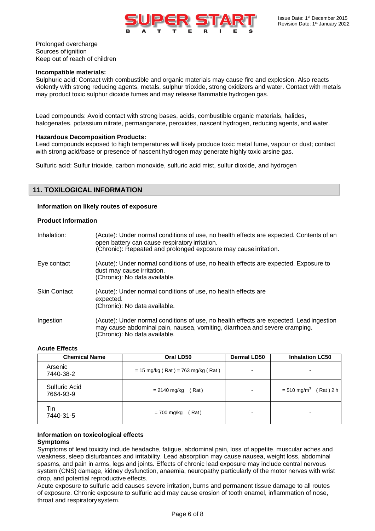

Prolonged overcharge Sources of ignition Keep out of reach of children

#### **Incompatible materials:**

Sulphuric acid: Contact with combustible and organic materials may cause fire and explosion. Also reacts violently with strong reducing agents, metals, sulphur trioxide, strong oxidizers and water. Contact with metals may product toxic sulphur dioxide fumes and may release flammable hydrogen gas.

Lead compounds: Avoid contact with strong bases, acids, combustible organic materials, halides, halogenates, potassium nitrate, permanganate, peroxides, nascent hydrogen, reducing agents, and water.

#### **Hazardous Decomposition Products:**

Lead compounds exposed to high temperatures will likely produce toxic metal fume, vapour or dust; contact with strong acid/base or presence of nascent hydrogen may generate highly toxic arsine gas.

Sulfuric acid: Sulfur trioxide, carbon monoxide, sulfuric acid mist, sulfur dioxide, and hydrogen

## **11. TOXILOGICAL INFORMATION**

#### **Information on likely routes of exposure**

#### **Product Information**

| Inhalation:         | (Acute): Under normal conditions of use, no health effects are expected. Contents of an<br>open battery can cause respiratory irritation.<br>(Chronic): Repeated and prolonged exposure may cause irritation. |
|---------------------|---------------------------------------------------------------------------------------------------------------------------------------------------------------------------------------------------------------|
| Eye contact         | (Acute): Under normal conditions of use, no health effects are expected. Exposure to<br>dust may cause irritation.<br>(Chronic): No data available.                                                           |
| <b>Skin Contact</b> | (Acute): Under normal conditions of use, no health effects are<br>expected.<br>(Chronic): No data available.                                                                                                  |
| Ingestion           | (Acute): Under normal conditions of use, no health effects are expected. Lead ingestion<br>may cause abdominal pain, nausea, vomiting, diarrhoea and severe cramping.<br>(Chronic): No data available.        |

#### **Acute Effects**

| <b>Chemical Name</b>       | Oral LD50                            | <b>Dermal LD50</b> | <b>Inhalation LC50</b>                   |
|----------------------------|--------------------------------------|--------------------|------------------------------------------|
| Arsenic<br>7440-38-2       | $= 15$ mg/kg (Rat) = 763 mg/kg (Rat) |                    |                                          |
| Sulfuric Acid<br>7664-93-9 | = 2140 mg/kg<br>(Rat)                | ۰.                 | $= 510$ mg/m <sup>3</sup><br>$(Rat)$ 2 h |
| Tin<br>7440-31-5           | $= 700$ mg/kg<br>(Rat)               |                    |                                          |

## **Information on toxicological effects**

#### **Symptoms**

Symptoms of lead toxicity include headache, fatigue, abdominal pain, loss of appetite, muscular aches and weakness, sleep disturbances and irritability. Lead absorption may cause nausea, weight loss, abdominal spasms, and pain in arms, legs and joints. Effects of chronic lead exposure may include central nervous system (CNS) damage, kidney dysfunction, anaemia, neuropathy particularly of the motor nerves with wrist drop, and potential reproductive effects.

Acute exposure to sulfuric acid causes severe irritation, burns and permanent tissue damage to all routes of exposure. Chronic exposure to sulfuric acid may cause erosion of tooth enamel, inflammation of nose, throat and respiratorysystem.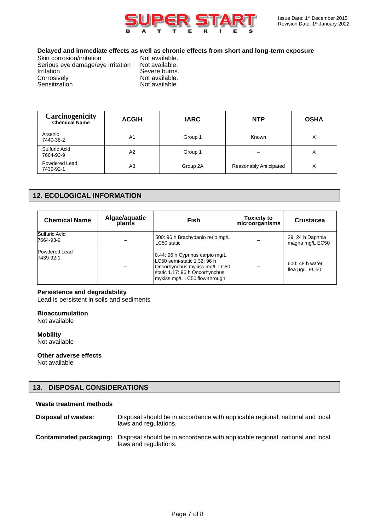

## **Delayed and immediate effects as well as chronic effects from short and long-term exposure**

| Skin corrosion/irritation         |  |
|-----------------------------------|--|
| Serious eye damage/eye irritation |  |
| Irritation                        |  |
| Corrosively                       |  |
| Sensitization                     |  |
|                                   |  |

Not available. Not available. Severe burns. Not available. Not available.

| <b>Carcinogenicity</b><br><b>Chemical Name</b> | <b>ACGIH</b>   | <b>IARC</b> | <b>NTP</b>             | <b>OSHA</b>  |
|------------------------------------------------|----------------|-------------|------------------------|--------------|
| Arsenic<br>7440-38-2                           | A <sub>1</sub> | Group 1     | Known                  | X            |
| <b>Sulfuric Acid</b><br>7664-93-9              | A2             | Group 1     |                        | X            |
| Powdered Lead<br>7439-92-1                     | A3             | Group 2A    | Reasonably Anticipated | $\checkmark$ |

## **12. ECOLOGICAL INFORMATION**

| <b>Chemical Name</b>       | Algae/aquatic<br>plants | <b>Fish</b>                                                                                                                                                        | <b>Toxicity to</b><br>microorganisms | <b>Crustacea</b>                       |
|----------------------------|-------------------------|--------------------------------------------------------------------------------------------------------------------------------------------------------------------|--------------------------------------|----------------------------------------|
| Sulfuric Acid<br>7664-93-9 |                         | 500: 96 h Brachydanio rerio mg/L<br>LC50 static                                                                                                                    |                                      | 29: 24 h Daphnia<br>magna mg/L EC50    |
| Powdered Lead<br>7439-92-1 |                         | 0.44: 96 h Cyprinus carpio mg/L<br>LC50 semi-static 1.32: 96 h<br>Oncorhynchus mykiss mg/L LC50<br>static 1.17: 96 h Oncorhynchus<br>mykiss mg/L LC50 flow-through |                                      | 600: 48 h water<br>flea $\mu$ g/L EC50 |

## **Persistence and degradability**

Lead is persistent in soils and sediments

#### **Bioaccumulation**

Not available

**Mobility** Not available

**Other adverse effects** Not available

## **13. DISPOSAL CONSIDERATIONS**

## **Waste treatment methods**

| Disposal of wastes:     | Disposal should be in accordance with applicable regional, national and local<br>laws and regulations. |
|-------------------------|--------------------------------------------------------------------------------------------------------|
| Contaminated packaging: | Disposal should be in accordance with applicable regional, national and local<br>laws and regulations. |